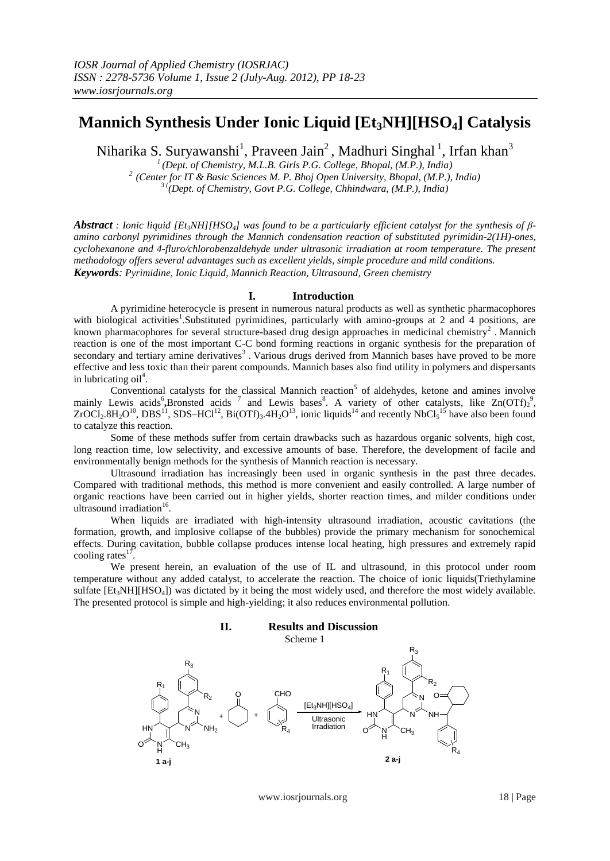# **Mannich Synthesis Under Ionic Liquid [Et3NH][HSO4] Catalysis**

Niharika S. Suryawanshi $^1$ , Praveen Jain $^2$ , Madhuri Singhal  $^1$ , Irfan khan $^3$ 

*1 (Dept. of Chemistry, M.L.B. Girls P.G. College, Bhopal, (M.P.), India) <sup>2</sup>(Center for IT & Basic Sciences M. P. Bhoj Open University, Bhopal, (M.P.), India)*

*3 ((Dept. of Chemistry, Govt P.G. College, Chhindwara, (M.P.), India)*

*Abstract : Ionic liquid [Et3NH][HSO4] was found to be a particularly efficient catalyst for the synthesis of βamino carbonyl pyrimidines through the Mannich condensation reaction of substituted pyrimidin-2(1H)-ones, cyclohexanone and 4-fluro/chlorobenzaldehyde under ultrasonic irradiation at room temperature. The present methodology offers several advantages such as excellent yields, simple procedure and mild conditions. Keywords: Pyrimidine, Ionic Liquid, Mannich Reaction, Ultrasound, Green chemistry*

## **I. Introduction**

A pyrimidine heterocycle is present in numerous natural products as well as synthetic pharmacophores with biological activities<sup>1</sup>.Substituted pyrimidines, particularly with amino-groups at 2 and 4 positions, are known pharmacophores for several structure-based drug design approaches in medicinal chemistry<sup>2</sup>. Mannich reaction is one of the most important C-C bond forming reactions in organic synthesis for the preparation of secondary and tertiary amine derivatives<sup>3</sup>. Various drugs derived from Mannich bases have proved to be more effective and less toxic than their parent compounds. Mannich bases also find utility in polymers and dispersants in lubricating  $\text{oil}^4$ .

Conventional catalysts for the classical Mannich reaction<sup>5</sup> of aldehydes, ketone and amines involve mainly Lewis acids<sup>6</sup>,Bronsted acids<sup>7</sup> and Lewis bases<sup>8</sup>. A variety of other catalysts, like Zn(OTf)<sub>2</sub><sup>9</sup>,  $ZrOCl_2.8H_2O^{10}$ , DBS<sup>11</sup>, SDS–HCl<sup>12</sup>, Bi(OTf)<sub>3</sub>.4H<sub>2</sub>O<sup>13</sup>, ionic liquids<sup>14</sup> and recently NbCl<sub>5</sub><sup>15</sup> have also been found to catalyze this reaction.

Some of these methods suffer from certain drawbacks such as hazardous organic solvents, high cost, long reaction time, low selectivity, and excessive amounts of base. Therefore, the development of facile and environmentally benign methods for the synthesis of Mannich reaction is necessary.

Ultrasound irradiation has increasingly been used in organic synthesis in the past three decades. Compared with traditional methods, this method is more convenient and easily controlled. A large number of organic reactions have been carried out in higher yields, shorter reaction times, and milder conditions under ultrasound irradiation<sup>16</sup>.

When liquids are irradiated with high-intensity ultrasound irradiation, acoustic cavitations (the formation, growth, and implosive collapse of the bubbles) provide the primary mechanism for sonochemical effects. During cavitation, bubble collapse produces intense local heating, high pressures and extremely rapid cooling rates $^{17}$ .

We present herein, an evaluation of the use of IL and ultrasound, in this protocol under room temperature without any added catalyst, to accelerate the reaction. The choice of ionic liquids(Triethylamine sulfate  $[Et_3NH][HSO_4]$ ) was dictated by it being the most widely used, and therefore the most widely available. The presented protocol is simple and high-yielding; it also reduces environmental pollution.



www.iosrjournals.org 18 | Page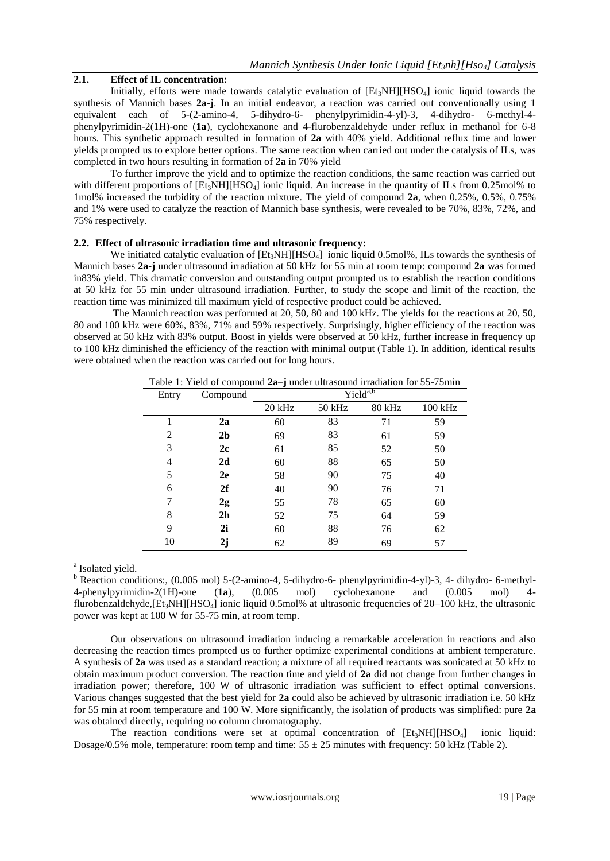# **2.1. Effect of IL concentration:**

Initially, efforts were made towards catalytic evaluation of  $[Et_3NH][HSO_4]$  ionic liquid towards the synthesis of Mannich bases **2a-j**. In an initial endeavor, a reaction was carried out conventionally using 1 equivalent each of 5-(2-amino-4, 5-dihydro-6- phenylpyrimidin-4-yl)-3, 4-dihydro- 6-methyl-4 phenylpyrimidin-2(1H)-one (**1a**), cyclohexanone and 4-flurobenzaldehyde under reflux in methanol for 6-8 hours. This synthetic approach resulted in formation of **2a** with 40% yield. Additional reflux time and lower yields prompted us to explore better options. The same reaction when carried out under the catalysis of ILs, was completed in two hours resulting in formation of **2a** in 70% yield

To further improve the yield and to optimize the reaction conditions, the same reaction was carried out with different proportions of  $[Et_3NH][HSO_4]$  ionic liquid. An increase in the quantity of ILs from 0.25mol% to 1mol% increased the turbidity of the reaction mixture. The yield of compound **2a**, when 0.25%, 0.5%, 0.75% and 1% were used to catalyze the reaction of Mannich base synthesis, were revealed to be 70%, 83%, 72%, and 75% respectively.

## **2.2. Effect of ultrasonic irradiation time and ultrasonic frequency:**

We initiated catalytic evaluation of  $[Et_3NH][HSO_4]$  ionic liquid 0.5mol%, ILs towards the synthesis of Mannich bases **2a-j** under ultrasound irradiation at 50 kHz for 55 min at room temp: compound **2a** was formed in83% yield. This dramatic conversion and outstanding output prompted us to establish the reaction conditions at 50 kHz for 55 min under ultrasound irradiation. Further, to study the scope and limit of the reaction, the reaction time was minimized till maximum yield of respective product could be achieved.

The Mannich reaction was performed at 20, 50, 80 and 100 kHz. The yields for the reactions at 20, 50, 80 and 100 kHz were 60%, 83%, 71% and 59% respectively. Surprisingly, higher efficiency of the reaction was observed at 50 kHz with 83% output. Boost in yields were observed at 50 kHz, further increase in frequency up to 100 kHz diminished the efficiency of the reaction with minimal output (Table 1). In addition, identical results were obtained when the reaction was carried out for long hours.

Table 1: Yield of compound **2a–j** under ultrasound irradiation for 55-75min

| Entry | Compound       | Yield <sup>a,b</sup> |        |        |         |  |  |
|-------|----------------|----------------------|--------|--------|---------|--|--|
|       |                | 20 kHz               | 50 kHz | 80 kHz | 100 kHz |  |  |
|       | 2a             | 60                   | 83     | 71     | 59      |  |  |
| 2     | 2 <sub>b</sub> | 69                   | 83     | 61     | 59      |  |  |
| 3     | 2c             | 61                   | 85     | 52     | 50      |  |  |
| 4     | 2d             | 60                   | 88     | 65     | 50      |  |  |
| 5     | 2e             | 58                   | 90     | 75     | 40      |  |  |
| 6     | 2f             | 40                   | 90     | 76     | 71      |  |  |
| 7     | 2g             | 55                   | 78     | 65     | 60      |  |  |
| 8     | 2 <sub>h</sub> | 52                   | 75     | 64     | 59      |  |  |
| 9     | 2i             | 60                   | 88     | 76     | 62      |  |  |
| 10    | 2j             | 62                   | 89     | 69     | 57      |  |  |

<sup>a</sup> Isolated yield.

<sup>b</sup> Reaction conditions:, (0.005 mol) 5-(2-amino-4, 5-dihydro-6- phenylpyrimidin-4-yl)-3, 4- dihydro- 6-methyl-<br>4-phenylpyrimidin-2(1H)-one (**1a**), (0.005 mol) cyclohexanone and (0.005 mol) 4-4-phenylpyrimidin-2(1H)-one (**1a**), (0.005 mol) cyclohexanone and (0.005 mol) 4 flurobenzaldehyde, $[Et_3NH][HSO_4]$  ionic liquid 0.5mol% at ultrasonic frequencies of 20–100 kHz, the ultrasonic power was kept at 100 W for 55-75 min, at room temp.

Our observations on ultrasound irradiation inducing a remarkable acceleration in reactions and also decreasing the reaction times prompted us to further optimize experimental conditions at ambient temperature. A synthesis of **2a** was used as a standard reaction; a mixture of all required reactants was sonicated at 50 kHz to obtain maximum product conversion. The reaction time and yield of **2a** did not change from further changes in irradiation power; therefore, 100 W of ultrasonic irradiation was sufficient to effect optimal conversions. Various changes suggested that the best yield for **2a** could also be achieved by ultrasonic irradiation i.e. 50 kHz for 55 min at room temperature and 100 W. More significantly, the isolation of products was simplified: pure **2a** was obtained directly, requiring no column chromatography.

The reaction conditions were set at optimal concentration of  $[Et_3NH][HSO_4]$  ionic liquid: Dosage/0.5% mole, temperature: room temp and time:  $55 \pm 25$  minutes with frequency: 50 kHz (Table 2).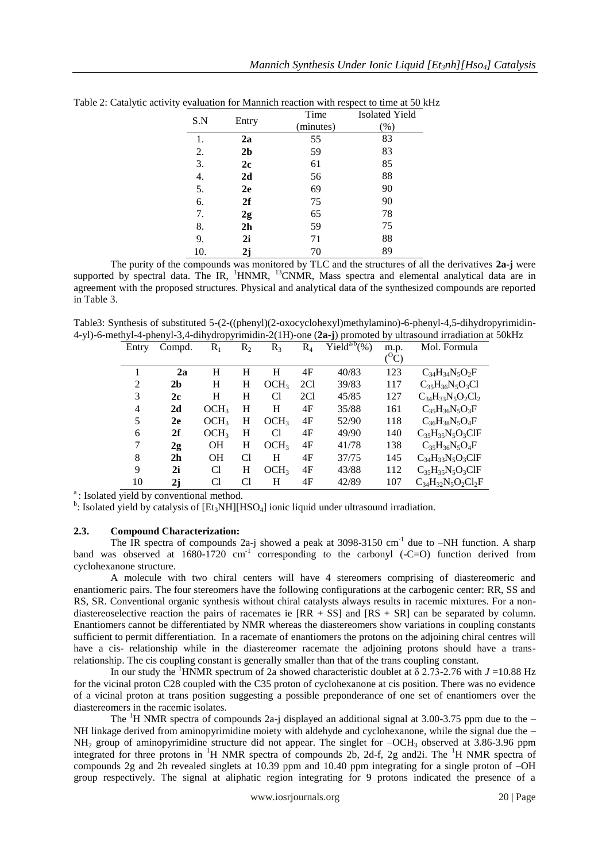| S.N | Entry          | Time      | Isolated Yield |  |
|-----|----------------|-----------|----------------|--|
|     |                | (minutes) | (%)            |  |
| 1.  | 2a             | 55        | 83             |  |
| 2.  | 2 <sub>b</sub> | 59        | 83             |  |
| 3.  | 2c             | 61        | 85             |  |
| 4.  | 2d             | 56        | 88             |  |
| 5.  | 2e             | 69        | 90             |  |
| 6.  | 2f             | 75        | 90             |  |
| 7.  | 2g             | 65        | 78             |  |
| 8.  | 2 <sub>h</sub> | 59        | 75             |  |
| 9.  | 2i             | 71        | 88             |  |
| 10. | 2j             | 70        | 89             |  |

|  | Table 2: Catalytic activity evaluation for Mannich reaction with respect to time at 50 kHz |  |  |  |  |
|--|--------------------------------------------------------------------------------------------|--|--|--|--|
|  |                                                                                            |  |  |  |  |

The purity of the compounds was monitored by TLC and the structures of all the derivatives **2a-j** were supported by spectral data. The IR, <sup>1</sup>HNMR, <sup>13</sup>CNMR, Mass spectra and elemental analytical data are in agreement with the proposed structures. Physical and analytical data of the synthesized compounds are reported in Table 3.

Table3: Synthesis of substituted 5-(2-((phenyl)(2-oxocyclohexyl)methylamino)-6-phenyl-4,5-dihydropyrimidin-4-yl)-6-methyl-4-phenyl-3,4-dihydropyrimidin-2(1H)-one (**2a-j**) promoted by ultrasound irradiation at 50kHz

| Entry | Compd.         | $R_1$            | $R_2$ | $R_3$            | $\rm R_4$ | Yield <sup>a/b</sup> $(\%)$ | m.p.    | Mol. Formula              |
|-------|----------------|------------------|-------|------------------|-----------|-----------------------------|---------|---------------------------|
|       |                |                  |       |                  |           |                             | $(^0C)$ |                           |
|       | 2a             | H                | H     | H                | 4F        | 40/83                       | 123     | $C_{34}H_{34}N_5O_2F$     |
| 2     | 2 <sub>b</sub> | H                | H     | OCH <sub>3</sub> | 2Cl       | 39/83                       | 117     | $C_{35}H_{36}N_5O_3Cl$    |
| 3     | 2c             | H                | H     | Cl               | 2Cl       | 45/85                       | 127     | $C_{34}H_{33}N_5O_2Cl_2$  |
| 4     | 2d             | OCH <sub>3</sub> | Н     | H                | 4F        | 35/88                       | 161     | $C_{35}H_{36}N_5O_3F$     |
| 5     | 2e             | OCH <sub>3</sub> | H     | OCH <sub>3</sub> | 4F        | 52/90                       | 118     | $C_{36}H_{38}N_5O_4F$     |
| 6     | 2f             | OCH <sub>3</sub> | H     | Cl               | 4F        | 49/90                       | 140     | $C_{35}H_{35}N_5O_3CIF$   |
| 7     | 2g             | <b>OH</b>        | H     | OCH <sub>3</sub> | 4F        | 41/78                       | 138     | $C_{35}H_{36}N_5O_4F$     |
| 8     | 2 <sub>h</sub> | <b>OH</b>        | C1    | H                | 4F        | 37/75                       | 145     | $C_{34}H_{33}N_5O_3ClF$   |
| 9     | 2i             | Cl               | H     | OCH <sub>3</sub> | 4F        | 43/88                       | 112     | $C_{35}H_{35}N_5O_3ClF$   |
| 10    | 2j             | Cl               | C1    | H                | 4F        | 42/89                       | 107     | $C_{34}H_{32}N_5O_2Cl_2F$ |

<sup>a</sup>: Isolated yield by conventional method.

<sup>b</sup>: Isolated yield by catalysis of [Et<sub>3</sub>NH][HSO<sub>4</sub>] ionic liquid under ultrasound irradiation.

# **2.3. Compound Characterization:**

The IR spectra of compounds 2a-j showed a peak at 3098-3150  $cm^{-1}$  due to  $-NH$  function. A sharp band was observed at  $1680-1720$  cm<sup>-1</sup> corresponding to the carbonyl (-C=O) function derived from cyclohexanone structure.

A molecule with two chiral centers will have 4 stereomers comprising of diastereomeric and enantiomeric pairs. The four stereomers have the following configurations at the carbogenic center: RR, SS and RS, SR. Conventional organic synthesis without chiral catalysts always results in racemic mixtures. For a nondiastereoselective reaction the pairs of racemates ie  $[RR + SS]$  and  $[RS + SR]$  can be separated by column. Enantiomers cannot be differentiated by NMR whereas the diastereomers show variations in coupling constants sufficient to permit differentiation. In a racemate of enantiomers the protons on the adjoining chiral centres will have a cis- relationship while in the diastereomer racemate the adjoining protons should have a transrelationship. The cis coupling constant is generally smaller than that of the trans coupling constant.

In our study the <sup>1</sup>HNMR spectrum of 2a showed characteristic doublet at  $\delta$  2.73-2.76 with *J* =10.88 Hz for the vicinal proton C28 coupled with the C35 proton of cyclohexanone at cis position. There was no evidence of a vicinal proton at trans position suggesting a possible preponderance of one set of enantiomers over the diastereomers in the racemic isolates.

The <sup>1</sup>H NMR spectra of compounds 2a-j displayed an additional signal at 3.00-3.75 ppm due to the – NH linkage derived from aminopyrimidine moiety with aldehyde and cyclohexanone, while the signal due the –  $NH<sub>2</sub>$  group of aminopyrimidine structure did not appear. The singlet for  $-OCH<sub>3</sub>$  observed at 3.86-3.96 ppm integrated for three protons in <sup>1</sup>H NMR spectra of compounds 2b, 2d-f, 2g and2i. The <sup>1</sup>H NMR spectra of compounds 2g and 2h revealed singlets at 10.39 ppm and 10.40 ppm integrating for a single proton of –OH group respectively. The signal at aliphatic region integrating for 9 protons indicated the presence of a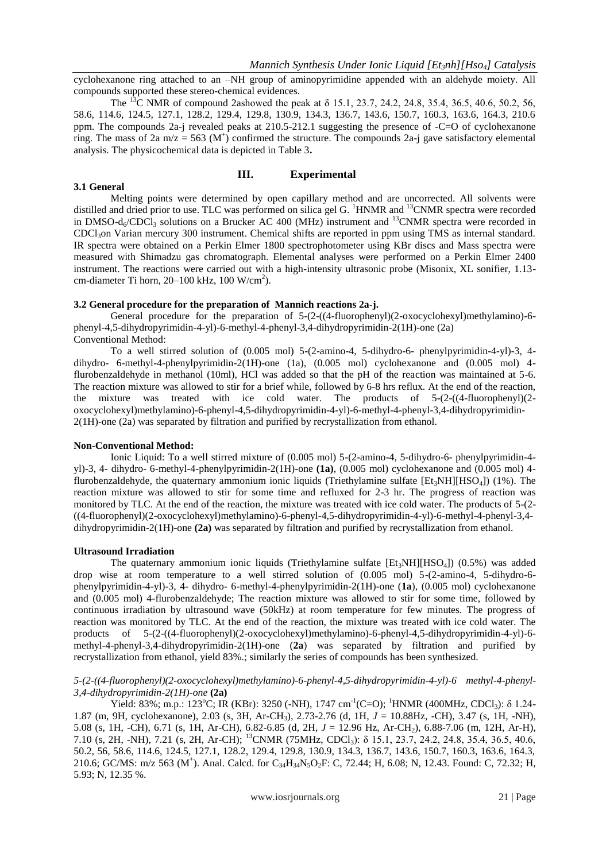cyclohexanone ring attached to an –NH group of aminopyrimidine appended with an aldehyde moiety. All compounds supported these stereo-chemical evidences.

The <sup>13</sup>C NMR of compound 2ashowed the peak at  $\delta$  15.1, 23.7, 24.2, 24.8, 35.4, 36.5, 40.6, 50.2, 56, 58.6, 114.6, 124.5, 127.1, 128.2, 129.4, 129.8, 130.9, 134.3, 136.7, 143.6, 150.7, 160.3, 163.6, 164.3, 210.6 ppm. The compounds 2a-j revealed peaks at 210.5-212.1 suggesting the presence of -C=O of cyclohexanone ring. The mass of 2a m/z = 563 ( $M^{+}$ ) confirmed the structure. The compounds 2a-j gave satisfactory elemental analysis. The physicochemical data is depicted in Table 3**.**

## **3.1 General**

## **III. Experimental**

Melting points were determined by open capillary method and are uncorrected. All solvents were distilled and dried prior to use. TLC was performed on silica gel G.  $^1$ HNMR and  $^{13}$ CNMR spectra were recorded in DMSO-d<sub>6</sub>/CDCl<sub>3</sub> solutions on a Brucker AC 400 (MHz) instrument and <sup>13</sup>CNMR spectra were recorded in CDCl3on Varian mercury 300 instrument. Chemical shifts are reported in ppm using TMS as internal standard. IR spectra were obtained on a Perkin Elmer 1800 spectrophotometer using KBr discs and Mass spectra were measured with Shimadzu gas chromatograph. Elemental analyses were performed on a Perkin Elmer 2400 instrument. The reactions were carried out with a high-intensity ultrasonic probe (Misonix, XL sonifier, 1.13 cm-diameter Ti horn,  $20-100$  kHz,  $100$  W/cm<sup>2</sup>).

#### **3.2 General procedure for the preparation of Mannich reactions 2a-j.**

General procedure for the preparation of 5-(2-((4-fluorophenyl)(2-oxocyclohexyl)methylamino)-6 phenyl-4,5-dihydropyrimidin-4-yl)-6-methyl-4-phenyl-3,4-dihydropyrimidin-2(1H)-one (2a) Conventional Method:

To a well stirred solution of (0.005 mol) 5-(2-amino-4, 5-dihydro-6- phenylpyrimidin-4-yl)-3, 4 dihydro- 6-methyl-4-phenylpyrimidin-2(1H)-one (1a), (0.005 mol) cyclohexanone and (0.005 mol) 4 flurobenzaldehyde in methanol (10ml), HCl was added so that the pH of the reaction was maintained at 5-6. The reaction mixture was allowed to stir for a brief while, followed by 6-8 hrs reflux. At the end of the reaction, the mixture was treated with ice cold water. The products of  $5-(2-((4-fluoropheny))(2$ oxocyclohexyl)methylamino)-6-phenyl-4,5-dihydropyrimidin-4-yl)-6-methyl-4-phenyl-3,4-dihydropyrimidin-2(1H)-one (2a) was separated by filtration and purified by recrystallization from ethanol.

## **Non-Conventional Method:**

Ionic Liquid: To a well stirred mixture of (0.005 mol) 5-(2-amino-4, 5-dihydro-6- phenylpyrimidin-4 yl)-3, 4- dihydro- 6-methyl-4-phenylpyrimidin-2(1H)-one **(1a)**, (0.005 mol) cyclohexanone and (0.005 mol) 4 flurobenzaldehyde, the quaternary ammonium ionic liquids (Triethylamine sulfate  $[Et<sub>3</sub>NH][HSO<sub>4</sub>](1%)$ ). The reaction mixture was allowed to stir for some time and refluxed for 2-3 hr. The progress of reaction was monitored by TLC. At the end of the reaction, the mixture was treated with ice cold water. The products of 5-(2- ((4-fluorophenyl)(2-oxocyclohexyl)methylamino)-6-phenyl-4,5-dihydropyrimidin-4-yl)-6-methyl-4-phenyl-3,4 dihydropyrimidin-2(1H)-one **(2a)** was separated by filtration and purified by recrystallization from ethanol.

#### **Ultrasound Irradiation**

The quaternary ammonium ionic liquids (Triethylamine sulfate  $[Et_3NH][HSO_4]$ ) (0.5%) was added drop wise at room temperature to a well stirred solution of (0.005 mol) 5-(2-amino-4, 5-dihydro-6 phenylpyrimidin-4-yl)-3, 4- dihydro- 6-methyl-4-phenylpyrimidin-2(1H)-one (**1a**), (0.005 mol) cyclohexanone and (0.005 mol) 4-flurobenzaldehyde; The reaction mixture was allowed to stir for some time, followed by continuous irradiation by ultrasound wave (50kHz) at room temperature for few minutes. The progress of reaction was monitored by TLC. At the end of the reaction, the mixture was treated with ice cold water. The products of 5-(2-((4-fluorophenyl)(2-oxocyclohexyl)methylamino)-6-phenyl-4,5-dihydropyrimidin-4-yl)-6 methyl-4-phenyl-3,4-dihydropyrimidin-2(1H)-one (**2a**) was separated by filtration and purified by recrystallization from ethanol, yield 83%.; similarly the series of compounds has been synthesized.

## *5-(2-((4-fluorophenyl)(2-oxocyclohexyl)methylamino)-6-phenyl-4,5-dihydropyrimidin-4-yl)-6 methyl-4-phenyl-3,4-dihydropyrimidin-2(1H)-one* **(2a)**

Yield: 83%; m.p.: 123°C; IR (KBr): 3250 (-NH), 1747 cm<sup>-1</sup>(C=O); <sup>1</sup>HNMR (400MHz, CDCl<sub>3</sub>): δ 1.24-1.87 (m, 9H, cyclohexanone), 2.03 (s, 3H, Ar-CH3), 2.73-2.76 (d, 1H, *J* = 10.88Hz, -CH), 3.47 (s, 1H, -NH), 5.08 (s, 1H, -CH), 6.71 (s, 1H, Ar-CH), 6.82-6.85 (d, 2H, *J* = 12.96 Hz, Ar-CH2), 6.88-7.06 (m, 12H, Ar-H), 7.10 (s, 2H, -NH), 7.21 (s, 2H, Ar-CH); <sup>13</sup>CNMR (75MHz, CDCl3): δ 15.1, 23.7, 24.2, 24.8, 35.4, 36.5, 40.6, 50.2, 56, 58.6, 114.6, 124.5, 127.1, 128.2, 129.4, 129.8, 130.9, 134.3, 136.7, 143.6, 150.7, 160.3, 163.6, 164.3, 210.6; GC/MS: m/z 563 (M<sup>+</sup>). Anal. Calcd. for C<sub>34</sub>H<sub>34</sub>N<sub>5</sub>O<sub>2</sub>F: C, 72.44; H, 6.08; N, 12.43. Found: C, 72.32; H, 5.93; N, 12.35 %.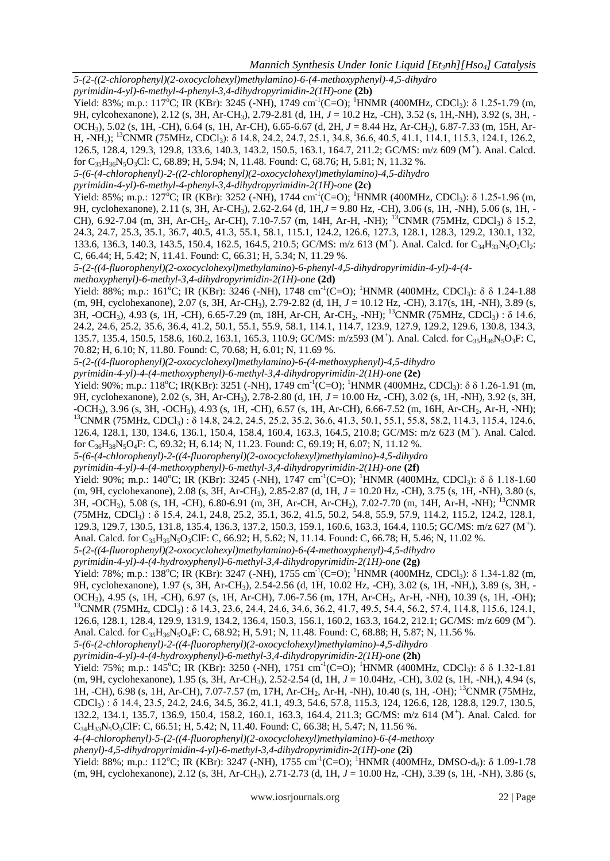*5-(2-((2-chlorophenyl)(2-oxocyclohexyl)methylamino)-6-(4-methoxyphenyl)-4,5-dihydro pyrimidin-4-yl)-6-methyl-4-phenyl-3,4-dihydropyrimidin-2(1H)-one* **(2b)** Yield: 83%; m.p.: 117<sup>o</sup>C; IR (KBr): 3245 (-NH), 1749 cm<sup>-1</sup>(C=O); <sup>1</sup>HNMR (400MHz, CDCl<sub>3</sub>):  $\delta$  1.25-1.79 (m, 9H, cylcohexanone), 2.12 (s, 3H, Ar-CH3), 2.79-2.81 (d, 1H, *J* = 10.2 Hz, -CH), 3.52 (s, 1H,-NH), 3.92 (s, 3H, - OCH3), 5.02 (s, 1H, -CH), 6.64 (s, 1H, Ar-CH), 6.65-6.67 (d, 2H, *J* = 8.44 Hz, Ar-CH2), 6.87-7.33 (m, 15H, Ar-H, -NH,); <sup>13</sup>CNMR (75MHz, CDCl3): δ 14.8, 24.2, 24.7, 25.1, 34.8, 36.6, 40.5, 41.1, 114.1, 115.3, 124.1, 126.2, 126.5, 128.4, 129.3, 129.8, 133.6, 140.3, 143.2, 150.5, 163.1, 164.7, 211.2; GC/MS: m/z 609 (M<sup>+</sup> ). Anal. Calcd. for C<sub>35</sub>H<sub>36</sub>N<sub>5</sub>O<sub>3</sub>Cl: C, 68.89; H, 5.94; N, 11.48. Found: C, 68.76; H, 5.81; N, 11.32 %. *5-(6-(4-chlorophenyl)-2-((2-chlorophenyl)(2-oxocyclohexyl)methylamino)-4,5-dihydro pyrimidin-4-yl)-6-methyl-4-phenyl-3,4-dihydropyrimidin-2(1H)-one* **(2c)** Yield: 85%; m.p.: 127<sup>o</sup>C; IR (KBr): 3252 (-NH), 1744 cm<sup>-1</sup>(C=O); <sup>1</sup>HNMR (400MHz, CDCl<sub>3</sub>):  $\delta$  1.25-1.96 (m, 9H, cyclohexanone), 2.11 (s, 3H, Ar-CH3), 2.62-2.64 (d, 1H,*J* = 9.80 Hz, -CH), 3.06 (s, 1H, -NH), 5.06 (s, 1H, - CH), 6.92-7.04 (m, 3H, Ar-CH<sub>2</sub>, Ar-CH), 7.10-7.57 (m, 14H, Ar-H, -NH); <sup>13</sup>CNMR (75MHz, CDCl<sub>3</sub>)  $\delta$  15.2, 24.3, 24.7, 25.3, 35.1, 36.7, 40.5, 41.3, 55.1, 58.1, 115.1, 124.2, 126.6, 127.3, 128.1, 128.3, 129.2, 130.1, 132, 133.6, 136.3, 140.3, 143.5, 150.4, 162.5, 164.5, 210.5; GC/MS: m/z 613 (M<sup>+</sup>). Anal. Calcd. for C<sub>34</sub>H<sub>33</sub>N<sub>5</sub>O<sub>2</sub>Cl<sub>2</sub>: C, 66.44; H, 5.42; N, 11.41. Found: C, 66.31; H, 5.34; N, 11.29 %. *5-(2-((4-fluorophenyl)(2-oxocyclohexyl)methylamino)-6-phenyl-4,5-dihydropyrimidin-4-yl)-4-(4 methoxyphenyl)-6-methyl-3,4-dihydropyrimidin-2(1H)-one* **(2d)** Yield: 88%; m.p.: 161°C; IR (KBr): 3246 (-NH), 1748 cm<sup>-1</sup>(C=O); <sup>1</sup>HNMR (400MHz, CDCl<sub>3</sub>):  $\delta \delta$  1.24-1.88 (m, 9H, cyclohexanone), 2.07 (s, 3H, Ar-CH3), 2.79-2.82 (d, 1H, *J* = 10.12 Hz, -CH), 3.17(s, 1H, -NH), 3.89 (s, 3H, -OCH<sub>3</sub>), 4.93 (s, 1H, -CH), 6.65-7.29 (m, 18H, Ar-CH, Ar-CH<sub>2</sub>, -NH); <sup>13</sup>CNMR (75MHz, CDCl<sub>3</sub>) : δ 14.6, 24.2, 24.6, 25.2, 35.6, 36.4, 41.2, 50.1, 55.1, 55.9, 58.1, 114.1, 114.7, 123.9, 127.9, 129.2, 129.6, 130.8, 134.3, 135.7, 135.4, 150.5, 158.6, 160.2, 163.1, 165.3, 110.9; GC/MS: m/z593 (M<sup>+</sup>). Anal. Calcd. for C<sub>35</sub>H<sub>36</sub>N<sub>5</sub>O<sub>3</sub>F: C, 70.82; H, 6.10; N, 11.80. Found: C, 70.68; H, 6.01; N, 11.69 %. *5-(2-((4-fluorophenyl)(2-oxocyclohexyl)methylamino)-6-(4-methoxyphenyl)-4,5-dihydro pyrimidin-4-yl)-4-(4-methoxyphenyl)-6-methyl-3,4-dihydropyrimidin-2(1H)-one* **(2e)** Yield: 90%; m.p.: 118°C; IR(KBr): 3251 (-NH), 1749 cm<sup>-1</sup>(C=O); <sup>1</sup>HNMR (400MHz, CDCl<sub>3</sub>):  $\delta \delta$  1.26-1.91 (m, 9H, cyclohexanone), 2.02 (s, 3H, Ar-CH3), 2.78-2.80 (d, 1H, *J* = 10.00 Hz, -CH), 3.02 (s, 1H, -NH), 3.92 (s, 3H,  $-OCH_3$ ), 3.96 (s, 3H,  $-OCH_3$ ), 4.93 (s, 1H, -CH), 6.57 (s, 1H, Ar-CH), 6.66-7.52 (m, 16H, Ar-CH<sub>2</sub>, Ar-H, -NH); <sup>13</sup>CNMR (75MHz, CDCl<sub>3</sub>) : δ 14.8, 24.2, 24.5, 25.2, 35.2, 36.6, 41.3, 50.1, 55.1, 55.8, 58.2, 114.3, 115.4, 124.6, 126.4, 128.1, 130, 134.6, 136.1, 150.4, 158.4, 160.4, 163.3, 164.5, 210.8; GC/MS: m/z 623 (M<sup>+</sup> ). Anal. Calcd. for  $C_{36}H_{38}N_5O_4F$ : C, 69.32; H, 6.14; N, 11.23. Found: C, 69.19; H, 6.07; N, 11.12 %. *5-(6-(4-chlorophenyl)-2-((4-fluorophenyl)(2-oxocyclohexyl)methylamino)-4,5-dihydro pyrimidin-4-yl)-4-(4-methoxyphenyl)-6-methyl-3,4-dihydropyrimidin-2(1H)-one* **(2f)** Yield: 90%; m.p.: 140°C; IR (KBr): 3245 (-NH), 1747 cm<sup>-1</sup>(C=O); <sup>1</sup>HNMR (400MHz, CDCl<sub>3</sub>):  $\delta \delta$  1.18-1.60 (m, 9H, cyclohexanone), 2.08 (s, 3H, Ar-CH3), 2.85-2.87 (d, 1H, *J* = 10.20 Hz, -CH), 3.75 (s, 1H, -NH), 3.80 (s, 3H, -OCH<sub>3</sub>), 5.08 (s, 1H, -CH), 6.80-6.91 (m, 3H, Ar-CH, Ar-CH<sub>2</sub>), 7.02-7.70 (m, 14H, Ar-H, -NH); <sup>13</sup>CNMR (75MHz, CDCl3) : δ 15.4, 24.1, 24.8, 25.2, 35.1, 36.2, 41.5, 50.2, 54.8, 55.9, 57.9, 114.2, 115.2, 124.2, 128.1, 129.3, 129.7, 130.5, 131.8, 135.4, 136.3, 137.2, 150.3, 159.1, 160.6, 163.3, 164.4, 110.5; GC/MS: m/z 627 (M<sup>+</sup>). Anal. Calcd. for C<sub>35</sub>H<sub>35</sub>N<sub>5</sub>O<sub>3</sub>ClF: C, 66.92; H, 5.62; N, 11.14. Found: C, 66.78; H, 5.46; N, 11.02 %. *5-(2-((4-fluorophenyl)(2-oxocyclohexyl)methylamino)-6-(4-methoxyphenyl)-4,5-dihydro pyrimidin-4-yl)-4-(4-hydroxyphenyl)-6-methyl-3,4-dihydropyrimidin-2(1H)-one* **(2g)** Yield: 78%; m.p.: 138°C; IR (KBr): 3247 (-NH), 1755 cm<sup>-1</sup>(C=O); <sup>1</sup>HNMR (400MHz, CDCl<sub>3</sub>):  $\delta$  1.34-1.82 (m, 9H, cyclohexanone), 1.97 (s, 3H, Ar-CH3), 2.54-2.56 (d, 1H, 10.02 Hz, -CH), 3.02 (s, 1H, -NH,), 3.89 (s, 3H, - OCH3), 4.95 (s, 1H, -CH), 6.97 (s, 1H, Ar-CH), 7.06-7.56 (m, 17H, Ar-CH2, Ar-H, -NH), 10.39 (s, 1H, -OH);  $^{13}$ CNMR (75MHz, CDCl<sub>3</sub>) : δ 14.3, 23.6, 24.4, 24.6, 34.6, 36.2, 41.7, 49.5, 54.4, 56.2, 57.4, 114.8, 115.6, 124.1, 126.6, 128.1, 128.4, 129.9, 131.9, 134.2, 136.4, 150.3, 156.1, 160.2, 163.3, 164.2, 212.1; GC/MS: m/z 609 (M<sup>+</sup> ). Anal. Calcd. for C<sub>35</sub>H<sub>36</sub>N<sub>5</sub>O<sub>4</sub>F: C, 68.92; H, 5.91; N, 11.48. Found: C, 68.88; H, 5.87; N, 11.56 %. *5-(6-(2-chlorophenyl)-2-((4-fluorophenyl)(2-oxocyclohexyl)methylamino)-4,5-dihydro pyrimidin-4-yl)-4-(4-hydroxyphenyl)-6-methyl-3,4-dihydropyrimidin-2(1H)-one* **(2h)** Yield: 75%; m.p.: 145°C; IR (KBr): 3250 (-NH), 1751 cm<sup>-1</sup>(C=O); <sup>1</sup>HNMR (400MHz, CDCl<sub>3</sub>):  $\delta \delta$  1.32-1.81 (m, 9H, cyclohexanone), 1.95 (s, 3H, Ar-CH3), 2.52-2.54 (d, 1H, *J* = 10.04Hz, -CH), 3.02 (s, 1H, -NH,), 4.94 (s, 1H, -CH), 6.98 (s, 1H, Ar-CH), 7.07-7.57 (m, 17H, Ar-CH2, Ar-H, -NH), 10.40 (s, 1H, -OH); <sup>13</sup>CNMR (75MHz, CDCl3) : δ 14.4, 23.5, 24.2, 24.6, 34.5, 36.2, 41.1, 49.3, 54.6, 57.8, 115.3, 124, 126.6, 128, 128.8, 129.7, 130.5, 132.2, 134.1, 135.7, 136.9, 150.4, 158.2, 160.1, 163.3, 164.4, 211.3; GC/MS: m/z 614 (M<sup>+</sup> ). Anal. Calcd. for  $C_{34}H_{33}N_5O_3CIF: C, 66.51; H, 5.42; N, 11.40.$  Found: C, 66.38; H, 5.47; N, 11.56 %. *4-(4-chlorophenyl)-5-(2-((4-fluorophenyl)(2-oxocyclohexyl)methylamino)-6-(4-methoxy phenyl)-4,5-dihydropyrimidin-4-yl)-6-methyl-3,4-dihydropyrimidin-2(1H)-one* **(2i)**

Yield: 88%; m.p.: 112°C; IR (KBr): 3247 (-NH), 1755 cm<sup>-1</sup>(C=O); <sup>1</sup>HNMR (400MHz, DMSO-d<sub>6</sub>): δ 1.09-1.78 (m, 9H, cyclohexanone), 2.12 (s, 3H, Ar-CH3), 2.71-2.73 (d, 1H, *J* = 10.00 Hz, -CH), 3.39 (s, 1H, -NH), 3.86 (s,